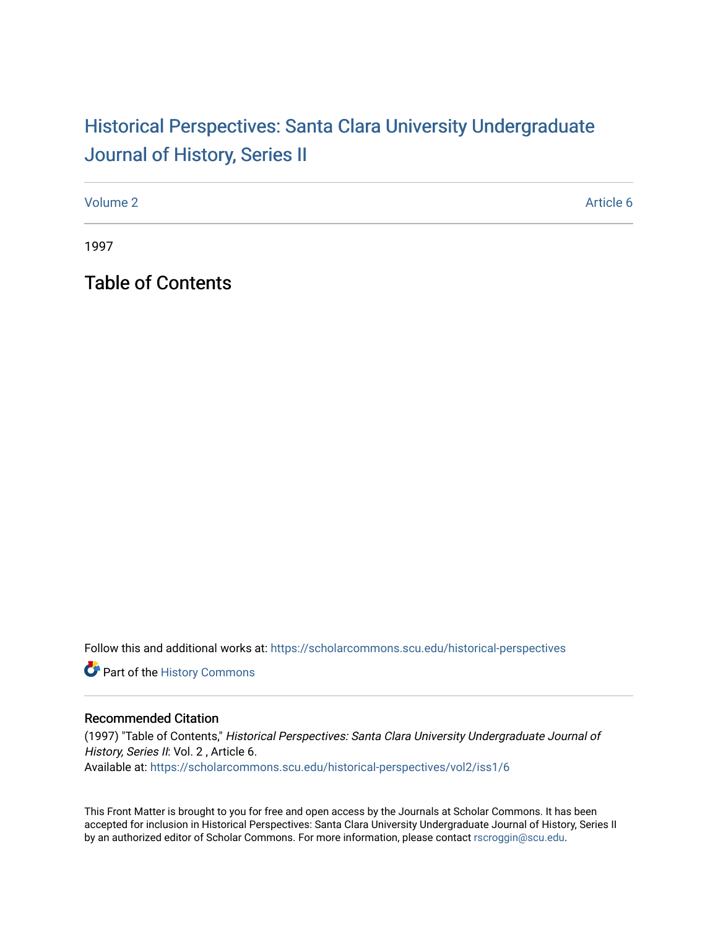## Historical Perspectiv[es: Santa Clara University Under](https://scholarcommons.scu.edu/historical-perspectives)graduate [Journal of History, Series II](https://scholarcommons.scu.edu/historical-perspectives)

[Volume 2](https://scholarcommons.scu.edu/historical-perspectives/vol2) Article 6

1997

Table of Contents

Follow this and additional works at: [https://scholarcommons.scu.edu/historical-perspectives](https://scholarcommons.scu.edu/historical-perspectives?utm_source=scholarcommons.scu.edu%2Fhistorical-perspectives%2Fvol2%2Fiss1%2F6&utm_medium=PDF&utm_campaign=PDFCoverPages) 

Part of the [History Commons](http://network.bepress.com/hgg/discipline/489?utm_source=scholarcommons.scu.edu%2Fhistorical-perspectives%2Fvol2%2Fiss1%2F6&utm_medium=PDF&utm_campaign=PDFCoverPages) 

## Recommended Citation

(1997) "Table of Contents," Historical Perspectives: Santa Clara University Undergraduate Journal of History, Series II: Vol. 2, Article 6. Available at: [https://scholarcommons.scu.edu/historical-perspectives/vol2/iss1/6](https://scholarcommons.scu.edu/historical-perspectives/vol2/iss1/6?utm_source=scholarcommons.scu.edu%2Fhistorical-perspectives%2Fvol2%2Fiss1%2F6&utm_medium=PDF&utm_campaign=PDFCoverPages) 

This Front Matter is brought to you for free and open access by the Journals at Scholar Commons. It has been accepted for inclusion in Historical Perspectives: Santa Clara University Undergraduate Journal of History, Series II by an authorized editor of Scholar Commons. For more information, please contact [rscroggin@scu.edu.](mailto:rscroggin@scu.edu)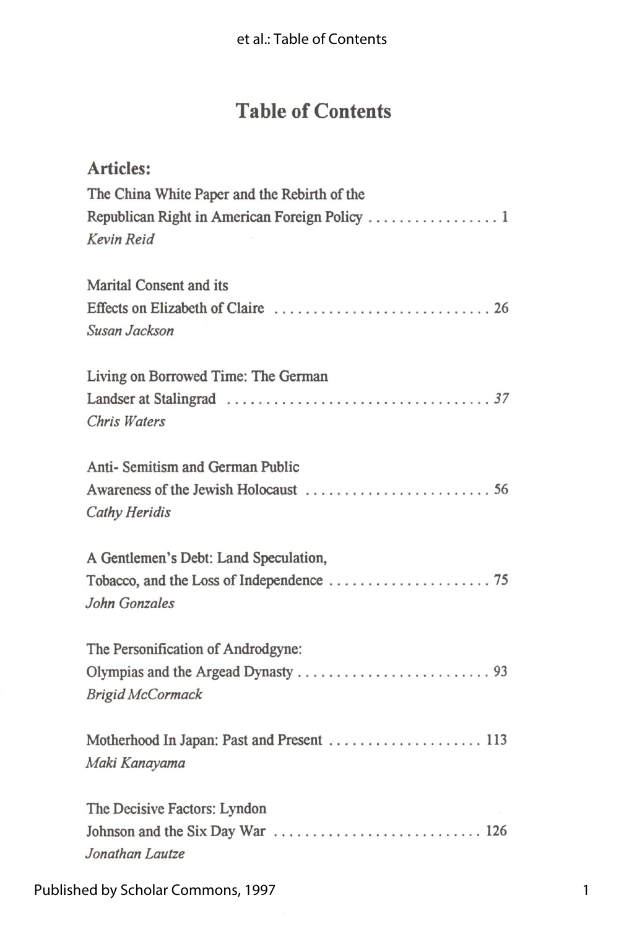## **Table of Contents**

| <b>Articles:</b>                             |
|----------------------------------------------|
| The China White Paper and the Rebirth of the |
|                                              |
| Kevin Reid                                   |
|                                              |
| <b>Marital Consent and its</b>               |
|                                              |
| Susan Jackson                                |
|                                              |
| Living on Borrowed Time: The German          |
|                                              |
| Chris Waters                                 |
|                                              |
| Anti- Semitism and German Public             |
|                                              |
| <b>Cathy Heridis</b>                         |
|                                              |
| A Gentlemen's Debt: Land Speculation,        |
|                                              |
| John Gonzales                                |
|                                              |
| The Personification of Androdgyne:           |
|                                              |
| <b>Brigid McCormack</b>                      |
|                                              |
| Motherhood In Japan: Past and Present  113   |
| Maki Kanayama                                |
|                                              |
| The Decisive Factors: Lyndon                 |
|                                              |
| Jonathan Lautze                              |
|                                              |

Published by Scholar Commons, 1997